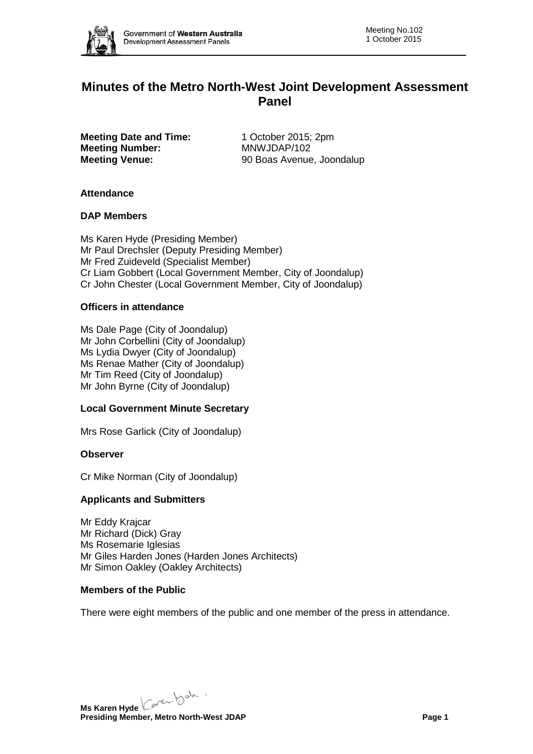

# **Minutes of the Metro North-West Joint Development Assessment Panel**

**Meeting Date and Time:** 1 October 2015; 2pm **Meeting Number:** MNWJDAP/102<br> **Meeting Venue:** 90 Boas Avenue

**Meeting Venue:** 90 Boas Avenue, Joondalup

### **Attendance**

### **DAP Members**

Ms Karen Hyde (Presiding Member) Mr Paul Drechsler (Deputy Presiding Member) Mr Fred Zuideveld (Specialist Member) Cr Liam Gobbert (Local Government Member, City of Joondalup) Cr John Chester (Local Government Member, City of Joondalup)

### **Officers in attendance**

Ms Dale Page (City of Joondalup) Mr John Corbellini (City of Joondalup) Ms Lydia Dwyer (City of Joondalup) Ms Renae Mather (City of Joondalup) Mr Tim Reed (City of Joondalup) Mr John Byrne (City of Joondalup)

# **Local Government Minute Secretary**

Mrs Rose Garlick (City of Joondalup)

#### **Observer**

Cr Mike Norman (City of Joondalup)

#### **Applicants and Submitters**

Mr Eddy Krajcar Mr Richard (Dick) Gray Ms Rosemarie Iglesias Mr Giles Harden Jones (Harden Jones Architects) Mr Simon Oakley (Oakley Architects)

#### **Members of the Public**

There were eight members of the public and one member of the press in attendance.

**Ms Karen Hyde** Care back **Presiding Member, Metro North-West JDAP Page 1**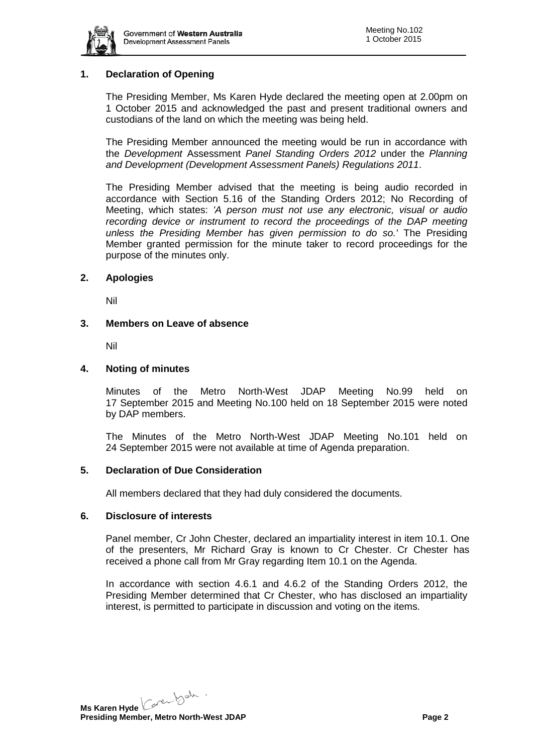

# **1. Declaration of Opening**

The Presiding Member, Ms Karen Hyde declared the meeting open at 2.00pm on 1 October 2015 and acknowledged the past and present traditional owners and custodians of the land on which the meeting was being held.

The Presiding Member announced the meeting would be run in accordance with the *Development* Assessment *Panel Standing Orders 2012* under the *Planning and Development (Development Assessment Panels) Regulations 2011*.

The Presiding Member advised that the meeting is being audio recorded in accordance with Section 5.16 of the Standing Orders 2012; No Recording of Meeting, which states: *'A person must not use any electronic, visual or audio recording device or instrument to record the proceedings of the DAP meeting unless the Presiding Member has given permission to do so.'* The Presiding Member granted permission for the minute taker to record proceedings for the purpose of the minutes only.

### **2. Apologies**

Nil

### **3. Members on Leave of absence**

Nil

### **4. Noting of minutes**

Minutes of the Metro North-West JDAP Meeting No.99 held on 17 September 2015 and Meeting No.100 held on 18 September 2015 were noted by DAP members.

The Minutes of the Metro North-West JDAP Meeting No.101 held on 24 September 2015 were not available at time of Agenda preparation.

#### **5. Declaration of Due Consideration**

All members declared that they had duly considered the documents.

#### **6. Disclosure of interests**

Panel member, Cr John Chester, declared an impartiality interest in item 10.1. One of the presenters, Mr Richard Gray is known to Cr Chester. Cr Chester has received a phone call from Mr Gray regarding Item 10.1 on the Agenda.

In accordance with section 4.6.1 and 4.6.2 of the Standing Orders 2012, the Presiding Member determined that Cr Chester, who has disclosed an impartiality interest, is permitted to participate in discussion and voting on the items.

**Ms Karen Hyde** Care back **Presiding Member, Metro North-West JDAP Page 2 Page 2**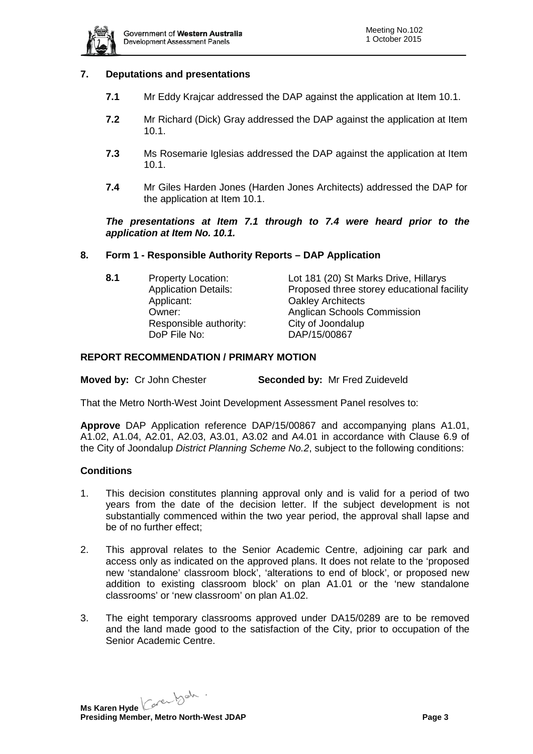

### **7. Deputations and presentations**

- **7.1** Mr Eddy Krajcar addressed the DAP against the application at Item 10.1.
- **7.2** Mr Richard (Dick) Gray addressed the DAP against the application at Item 10.1.
- **7.3** Ms Rosemarie Iglesias addressed the DAP against the application at Item 10.1.
- **7.4** Mr Giles Harden Jones (Harden Jones Architects) addressed the DAP for the application at Item 10.1.

*The presentations at Item 7.1 through to 7.4 were heard prior to the application at Item No. 10.1.* 

### **8. Form 1 - Responsible Authority Reports – DAP Application**

| 8.1 | <b>Property Location:</b>   | Lot 181 (20) St Marks Drive, Hillarys      |
|-----|-----------------------------|--------------------------------------------|
|     | <b>Application Details:</b> | Proposed three storey educational facility |
|     | Applicant:                  | <b>Oakley Architects</b>                   |
|     | Owner:                      | Anglican Schools Commission                |
|     | Responsible authority:      | City of Joondalup                          |
|     | DoP File No:                | DAP/15/00867                               |

### **REPORT RECOMMENDATION / PRIMARY MOTION**

**Moved by:** Cr John Chester **Seconded by:** Mr Fred Zuideveld

That the Metro North-West Joint Development Assessment Panel resolves to:

**Approve** DAP Application reference DAP/15/00867 and accompanying plans A1.01, A1.02, A1.04, A2.01, A2.03, A3.01, A3.02 and A4.01 in accordance with Clause 6.9 of the City of Joondalup *District Planning Scheme No.2*, subject to the following conditions:

# **Conditions**

- 1. This decision constitutes planning approval only and is valid for a period of two years from the date of the decision letter. If the subject development is not substantially commenced within the two year period, the approval shall lapse and be of no further effect;
- 2. This approval relates to the Senior Academic Centre, adjoining car park and access only as indicated on the approved plans. It does not relate to the 'proposed new 'standalone' classroom block', 'alterations to end of block', or proposed new addition to existing classroom block' on plan A1.01 or the 'new standalone classrooms' or 'new classroom' on plan A1.02.
- 3. The eight temporary classrooms approved under DA15/0289 are to be removed and the land made good to the satisfaction of the City, prior to occupation of the Senior Academic Centre.

**Ms Karen Hyde** Care back **Presiding Member, Metro North-West JDAP Page 3**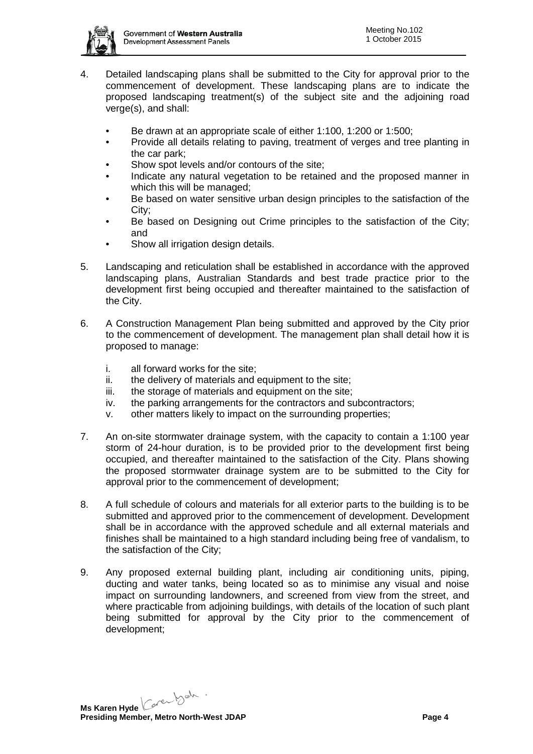

- 4. Detailed landscaping plans shall be submitted to the City for approval prior to the commencement of development. These landscaping plans are to indicate the proposed landscaping treatment(s) of the subject site and the adjoining road verge(s), and shall:
	- Be drawn at an appropriate scale of either 1:100, 1:200 or 1:500;
	- Provide all details relating to paving, treatment of verges and tree planting in the car park;
	- Show spot levels and/or contours of the site;
	- Indicate any natural vegetation to be retained and the proposed manner in which this will be managed;
	- Be based on water sensitive urban design principles to the satisfaction of the City;
	- Be based on Designing out Crime principles to the satisfaction of the City; and
	- Show all irrigation design details.
- 5. Landscaping and reticulation shall be established in accordance with the approved landscaping plans, Australian Standards and best trade practice prior to the development first being occupied and thereafter maintained to the satisfaction of the City.
- 6. A Construction Management Plan being submitted and approved by the City prior to the commencement of development. The management plan shall detail how it is proposed to manage:
	- i. all forward works for the site;
	- ii. the delivery of materials and equipment to the site;
	- iii. the storage of materials and equipment on the site;
	- iv. the parking arrangements for the contractors and subcontractors;
	- v. other matters likely to impact on the surrounding properties;
- 7. An on-site stormwater drainage system, with the capacity to contain a 1:100 year storm of 24-hour duration, is to be provided prior to the development first being occupied, and thereafter maintained to the satisfaction of the City. Plans showing the proposed stormwater drainage system are to be submitted to the City for approval prior to the commencement of development;
- 8. A full schedule of colours and materials for all exterior parts to the building is to be submitted and approved prior to the commencement of development. Development shall be in accordance with the approved schedule and all external materials and finishes shall be maintained to a high standard including being free of vandalism, to the satisfaction of the City;
- 9. Any proposed external building plant, including air conditioning units, piping, ducting and water tanks, being located so as to minimise any visual and noise impact on surrounding landowners, and screened from view from the street, and where practicable from adjoining buildings, with details of the location of such plant being submitted for approval by the City prior to the commencement of development;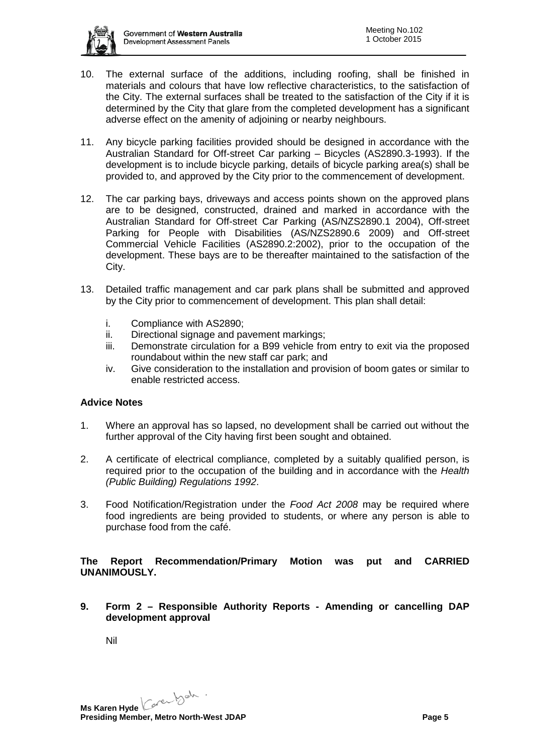

- 10. The external surface of the additions, including roofing, shall be finished in materials and colours that have low reflective characteristics, to the satisfaction of the City. The external surfaces shall be treated to the satisfaction of the City if it is determined by the City that glare from the completed development has a significant adverse effect on the amenity of adjoining or nearby neighbours.
- 11. Any bicycle parking facilities provided should be designed in accordance with the Australian Standard for Off-street Car parking – Bicycles (AS2890.3-1993). If the development is to include bicycle parking, details of bicycle parking area(s) shall be provided to, and approved by the City prior to the commencement of development.
- 12. The car parking bays, driveways and access points shown on the approved plans are to be designed, constructed, drained and marked in accordance with the Australian Standard for Off-street Car Parking (AS/NZS2890.1 2004), Off-street Parking for People with Disabilities (AS/NZS2890.6 2009) and Off-street Commercial Vehicle Facilities (AS2890.2:2002), prior to the occupation of the development. These bays are to be thereafter maintained to the satisfaction of the City.
- 13. Detailed traffic management and car park plans shall be submitted and approved by the City prior to commencement of development. This plan shall detail:
	- i. Compliance with AS2890;
	- ii. Directional signage and pavement markings;
	- iii. Demonstrate circulation for a B99 vehicle from entry to exit via the proposed roundabout within the new staff car park; and
	- iv. Give consideration to the installation and provision of boom gates or similar to enable restricted access.

# **Advice Notes**

- 1. Where an approval has so lapsed, no development shall be carried out without the further approval of the City having first been sought and obtained.
- 2. A certificate of electrical compliance, completed by a suitably qualified person, is required prior to the occupation of the building and in accordance with the *Health (Public Building) Regulations 1992*.
- 3. Food Notification/Registration under the *Food Act 2008* may be required where food ingredients are being provided to students, or where any person is able to purchase food from the café.

**The Report Recommendation/Primary Motion was put and CARRIED UNANIMOUSLY.**

**9. Form 2 – Responsible Authority Reports - Amending or cancelling DAP development approval**

Nil

**Ms Karen Hyde** Care back **Presiding Member, Metro North-West JDAP Page 5 Page 5**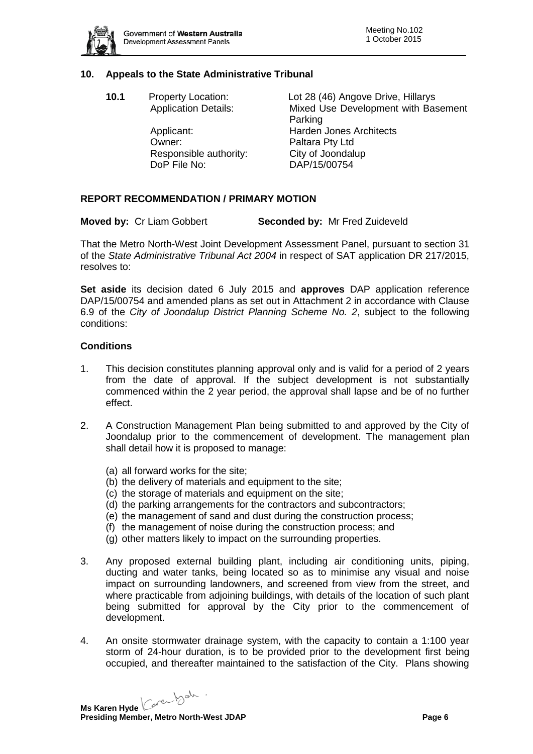

# **10. Appeals to the State Administrative Tribunal**

| Lot 28 (46) Angove Drive, Hillarys  |
|-------------------------------------|
| Mixed Use Development with Basement |
|                                     |
|                                     |
|                                     |
|                                     |
|                                     |
|                                     |

### **REPORT RECOMMENDATION / PRIMARY MOTION**

**Moved by:** Cr Liam Gobbert **Seconded by:** Mr Fred Zuideveld

That the Metro North-West Joint Development Assessment Panel, pursuant to section 31 of the *State Administrative Tribunal Act 2004* in respect of SAT application DR 217/2015, resolves to:

**Set aside** its decision dated 6 July 2015 and **approves** DAP application reference DAP/15/00754 and amended plans as set out in Attachment 2 in accordance with Clause 6.9 of the *City of Joondalup District Planning Scheme No. 2*, subject to the following conditions:

#### **Conditions**

- 1. This decision constitutes planning approval only and is valid for a period of 2 years from the date of approval. If the subject development is not substantially commenced within the 2 year period, the approval shall lapse and be of no further effect.
- 2. A Construction Management Plan being submitted to and approved by the City of Joondalup prior to the commencement of development. The management plan shall detail how it is proposed to manage:
	- (a) all forward works for the site;
	- (b) the delivery of materials and equipment to the site;
	- (c) the storage of materials and equipment on the site;
	- (d) the parking arrangements for the contractors and subcontractors;
	- (e) the management of sand and dust during the construction process;
	- (f) the management of noise during the construction process; and
	- (g) other matters likely to impact on the surrounding properties.
- 3. Any proposed external building plant, including air conditioning units, piping, ducting and water tanks, being located so as to minimise any visual and noise impact on surrounding landowners, and screened from view from the street, and where practicable from adjoining buildings, with details of the location of such plant being submitted for approval by the City prior to the commencement of development.
- 4. An onsite stormwater drainage system, with the capacity to contain a 1:100 year storm of 24-hour duration, is to be provided prior to the development first being occupied, and thereafter maintained to the satisfaction of the City. Plans showing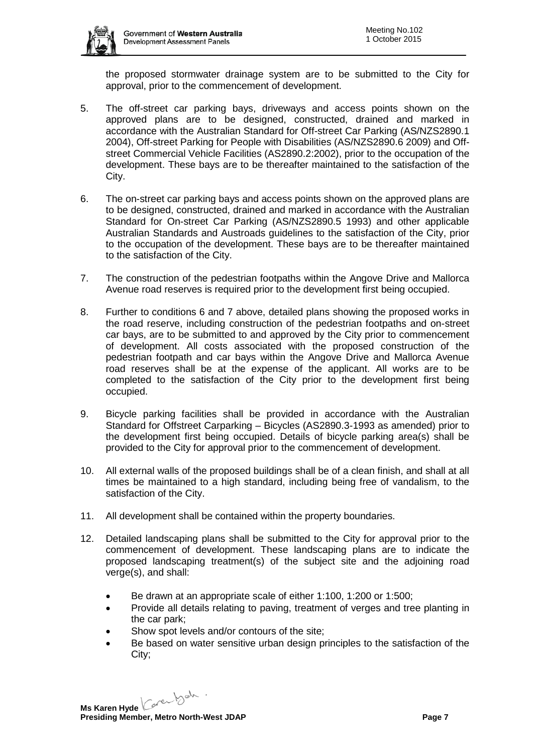

the proposed stormwater drainage system are to be submitted to the City for approval, prior to the commencement of development.

- 5. The off-street car parking bays, driveways and access points shown on the approved plans are to be designed, constructed, drained and marked in accordance with the Australian Standard for Off-street Car Parking (AS/NZS2890.1 2004), Off-street Parking for People with Disabilities (AS/NZS2890.6 2009) and Offstreet Commercial Vehicle Facilities (AS2890.2:2002), prior to the occupation of the development. These bays are to be thereafter maintained to the satisfaction of the City.
- 6. The on-street car parking bays and access points shown on the approved plans are to be designed, constructed, drained and marked in accordance with the Australian Standard for On-street Car Parking (AS/NZS2890.5 1993) and other applicable Australian Standards and Austroads guidelines to the satisfaction of the City, prior to the occupation of the development. These bays are to be thereafter maintained to the satisfaction of the City.
- 7. The construction of the pedestrian footpaths within the Angove Drive and Mallorca Avenue road reserves is required prior to the development first being occupied.
- 8. Further to conditions 6 and 7 above, detailed plans showing the proposed works in the road reserve, including construction of the pedestrian footpaths and on-street car bays, are to be submitted to and approved by the City prior to commencement of development. All costs associated with the proposed construction of the pedestrian footpath and car bays within the Angove Drive and Mallorca Avenue road reserves shall be at the expense of the applicant. All works are to be completed to the satisfaction of the City prior to the development first being occupied.
- 9. Bicycle parking facilities shall be provided in accordance with the Australian Standard for Offstreet Carparking – Bicycles (AS2890.3-1993 as amended) prior to the development first being occupied. Details of bicycle parking area(s) shall be provided to the City for approval prior to the commencement of development.
- 10. All external walls of the proposed buildings shall be of a clean finish, and shall at all times be maintained to a high standard, including being free of vandalism, to the satisfaction of the City.
- 11. All development shall be contained within the property boundaries.
- 12. Detailed landscaping plans shall be submitted to the City for approval prior to the commencement of development. These landscaping plans are to indicate the proposed landscaping treatment(s) of the subject site and the adjoining road verge(s), and shall:
	- Be drawn at an appropriate scale of either 1:100, 1:200 or 1:500;
	- Provide all details relating to paving, treatment of verges and tree planting in the car park;
	- Show spot levels and/or contours of the site;
	- Be based on water sensitive urban design principles to the satisfaction of the City;

**Ms Karen Hyde** Care back **Presiding Member, Metro North-West JDAP Page 7 Page 7**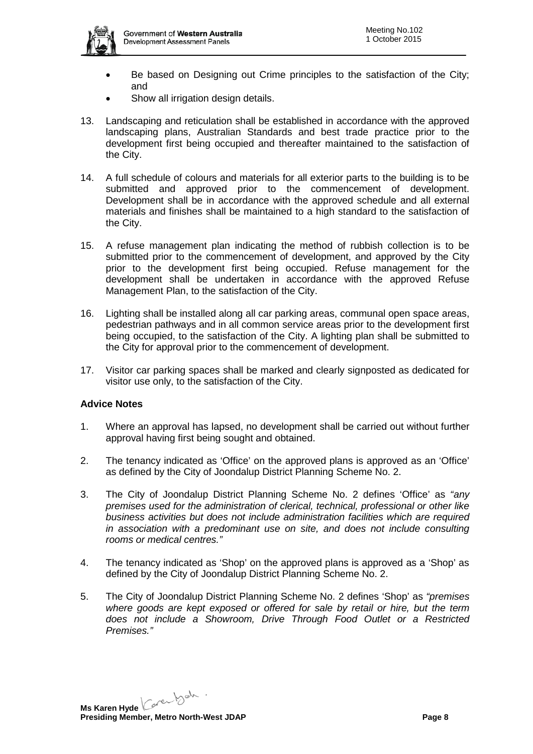

- Be based on Designing out Crime principles to the satisfaction of the City; and
- Show all irrigation design details.
- 13. Landscaping and reticulation shall be established in accordance with the approved landscaping plans, Australian Standards and best trade practice prior to the development first being occupied and thereafter maintained to the satisfaction of the City.
- 14. A full schedule of colours and materials for all exterior parts to the building is to be submitted and approved prior to the commencement of development. Development shall be in accordance with the approved schedule and all external materials and finishes shall be maintained to a high standard to the satisfaction of the City.
- 15. A refuse management plan indicating the method of rubbish collection is to be submitted prior to the commencement of development, and approved by the City prior to the development first being occupied. Refuse management for the development shall be undertaken in accordance with the approved Refuse Management Plan, to the satisfaction of the City.
- 16. Lighting shall be installed along all car parking areas, communal open space areas, pedestrian pathways and in all common service areas prior to the development first being occupied, to the satisfaction of the City. A lighting plan shall be submitted to the City for approval prior to the commencement of development.
- 17. Visitor car parking spaces shall be marked and clearly signposted as dedicated for visitor use only, to the satisfaction of the City.

# **Advice Notes**

- 1. Where an approval has lapsed, no development shall be carried out without further approval having first being sought and obtained.
- 2. The tenancy indicated as 'Office' on the approved plans is approved as an 'Office' as defined by the City of Joondalup District Planning Scheme No. 2.
- 3. The City of Joondalup District Planning Scheme No. 2 defines 'Office' as *"any premises used for the administration of clerical, technical, professional or other like business activities but does not include administration facilities which are required in association with a predominant use on site, and does not include consulting rooms or medical centres."*
- 4. The tenancy indicated as 'Shop' on the approved plans is approved as a 'Shop' as defined by the City of Joondalup District Planning Scheme No. 2.
- 5. The City of Joondalup District Planning Scheme No. 2 defines 'Shop' as *"premises where goods are kept exposed or offered for sale by retail or hire, but the term does not include a Showroom, Drive Through Food Outlet or a Restricted Premises."*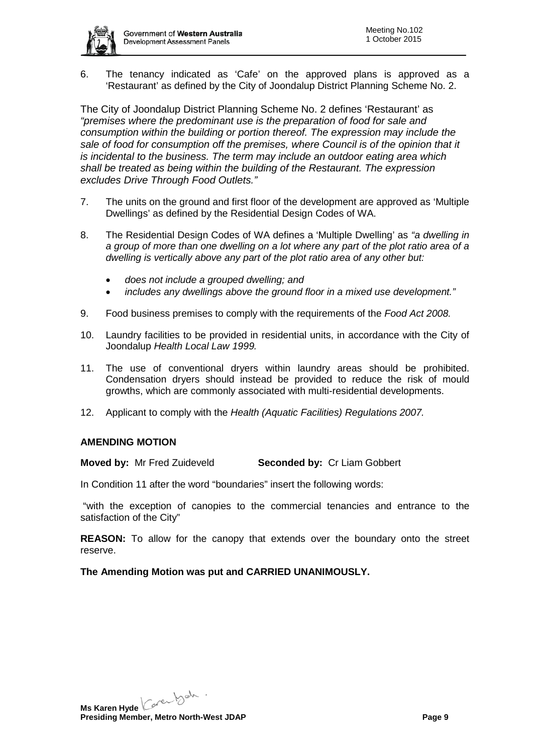6. The tenancy indicated as 'Cafe' on the approved plans is approved as a 'Restaurant' as defined by the City of Joondalup District Planning Scheme No. 2.

The City of Joondalup District Planning Scheme No. 2 defines 'Restaurant' as *"premises where the predominant use is the preparation of food for sale and consumption within the building or portion thereof. The expression may include the sale of food for consumption off the premises, where Council is of the opinion that it is incidental to the business. The term may include an outdoor eating area which shall be treated as being within the building of the Restaurant. The expression excludes Drive Through Food Outlets."*

- 7. The units on the ground and first floor of the development are approved as 'Multiple Dwellings' as defined by the Residential Design Codes of WA.
- 8. The Residential Design Codes of WA defines a 'Multiple Dwelling' as *"a dwelling in a group of more than one dwelling on a lot where any part of the plot ratio area of a dwelling is vertically above any part of the plot ratio area of any other but:*
	- *does not include a grouped dwelling; and*
	- *includes any dwellings above the ground floor in a mixed use development."*
- 9. Food business premises to comply with the requirements of the *Food Act 2008.*
- 10. Laundry facilities to be provided in residential units, in accordance with the City of Joondalup *Health Local Law 1999.*
- 11. The use of conventional dryers within laundry areas should be prohibited. Condensation dryers should instead be provided to reduce the risk of mould growths, which are commonly associated with multi-residential developments.
- 12. Applicant to comply with the *Health (Aquatic Facilities) Regulations 2007.*

# **AMENDING MOTION**

**Moved by:** Mr Fred Zuideveld **Seconded by:** Cr Liam Gobbert

In Condition 11 after the word "boundaries" insert the following words:

"with the exception of canopies to the commercial tenancies and entrance to the satisfaction of the City"

**REASON:** To allow for the canopy that extends over the boundary onto the street reserve.

**The Amending Motion was put and CARRIED UNANIMOUSLY.**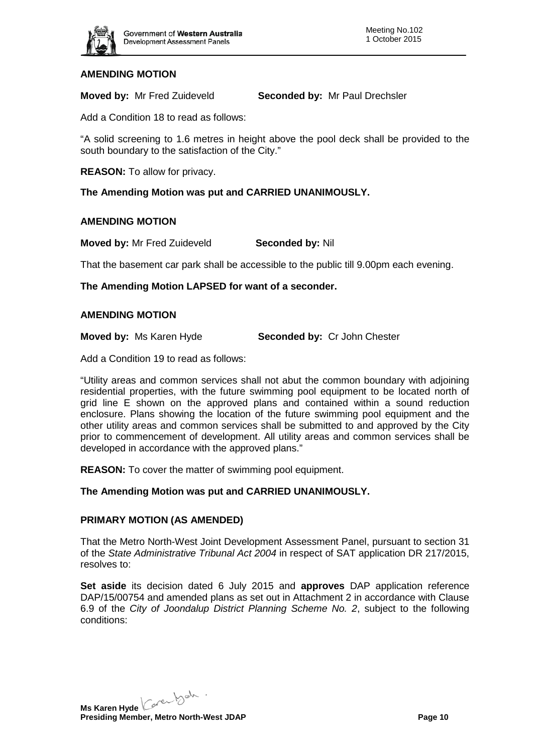

# **AMENDING MOTION**

**Moved by:** Mr Fred Zuideveld **Seconded by:** Mr Paul Drechsler

Add a Condition 18 to read as follows:

"A solid screening to 1.6 metres in height above the pool deck shall be provided to the south boundary to the satisfaction of the City."

**REASON:** To allow for privacy.

**The Amending Motion was put and CARRIED UNANIMOUSLY.**

### **AMENDING MOTION**

**Moved by:** Mr Fred Zuideveld **Seconded by:** Nil

That the basement car park shall be accessible to the public till 9.00pm each evening.

**The Amending Motion LAPSED for want of a seconder.**

#### **AMENDING MOTION**

**Moved by:** Ms Karen Hyde **Seconded by:** Cr John Chester

Add a Condition 19 to read as follows:

"Utility areas and common services shall not abut the common boundary with adjoining residential properties, with the future swimming pool equipment to be located north of grid line E shown on the approved plans and contained within a sound reduction enclosure. Plans showing the location of the future swimming pool equipment and the other utility areas and common services shall be submitted to and approved by the City prior to commencement of development. All utility areas and common services shall be developed in accordance with the approved plans."

**REASON:** To cover the matter of swimming pool equipment.

# **The Amending Motion was put and CARRIED UNANIMOUSLY.**

#### **PRIMARY MOTION (AS AMENDED)**

That the Metro North-West Joint Development Assessment Panel, pursuant to section 31 of the *State Administrative Tribunal Act 2004* in respect of SAT application DR 217/2015, resolves to:

**Set aside** its decision dated 6 July 2015 and **approves** DAP application reference DAP/15/00754 and amended plans as set out in Attachment 2 in accordance with Clause 6.9 of the *City of Joondalup District Planning Scheme No. 2*, subject to the following conditions:

**Ms Karen Hyde** Care back **Presiding Member, Metro North-West JDAP Page 10 Page 10**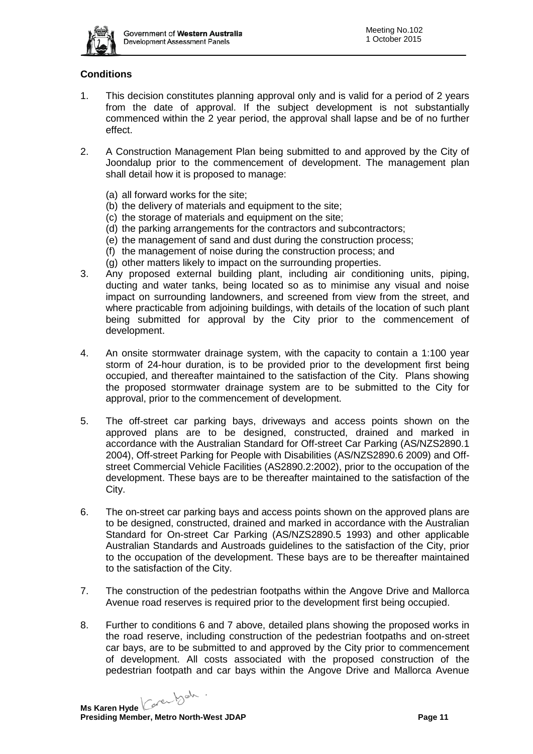

# **Conditions**

- 1. This decision constitutes planning approval only and is valid for a period of 2 years from the date of approval. If the subject development is not substantially commenced within the 2 year period, the approval shall lapse and be of no further effect.
- 2. A Construction Management Plan being submitted to and approved by the City of Joondalup prior to the commencement of development. The management plan shall detail how it is proposed to manage:
	- (a) all forward works for the site;
	- (b) the delivery of materials and equipment to the site;
	- (c) the storage of materials and equipment on the site;
	- (d) the parking arrangements for the contractors and subcontractors;
	- (e) the management of sand and dust during the construction process;
	- (f) the management of noise during the construction process; and
	- (g) other matters likely to impact on the surrounding properties.
- 3. Any proposed external building plant, including air conditioning units, piping, ducting and water tanks, being located so as to minimise any visual and noise impact on surrounding landowners, and screened from view from the street, and where practicable from adjoining buildings, with details of the location of such plant being submitted for approval by the City prior to the commencement of development.
- 4. An onsite stormwater drainage system, with the capacity to contain a 1:100 year storm of 24-hour duration, is to be provided prior to the development first being occupied, and thereafter maintained to the satisfaction of the City. Plans showing the proposed stormwater drainage system are to be submitted to the City for approval, prior to the commencement of development.
- 5. The off-street car parking bays, driveways and access points shown on the approved plans are to be designed, constructed, drained and marked in accordance with the Australian Standard for Off-street Car Parking (AS/NZS2890.1 2004), Off-street Parking for People with Disabilities (AS/NZS2890.6 2009) and Offstreet Commercial Vehicle Facilities (AS2890.2:2002), prior to the occupation of the development. These bays are to be thereafter maintained to the satisfaction of the City.
- 6. The on-street car parking bays and access points shown on the approved plans are to be designed, constructed, drained and marked in accordance with the Australian Standard for On-street Car Parking (AS/NZS2890.5 1993) and other applicable Australian Standards and Austroads guidelines to the satisfaction of the City, prior to the occupation of the development. These bays are to be thereafter maintained to the satisfaction of the City.
- 7. The construction of the pedestrian footpaths within the Angove Drive and Mallorca Avenue road reserves is required prior to the development first being occupied.
- 8. Further to conditions 6 and 7 above, detailed plans showing the proposed works in the road reserve, including construction of the pedestrian footpaths and on-street car bays, are to be submitted to and approved by the City prior to commencement of development. All costs associated with the proposed construction of the pedestrian footpath and car bays within the Angove Drive and Mallorca Avenue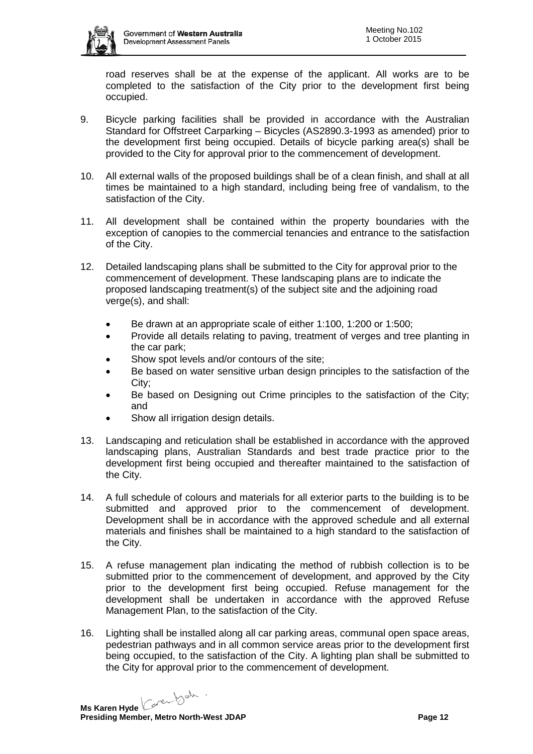

road reserves shall be at the expense of the applicant. All works are to be completed to the satisfaction of the City prior to the development first being occupied.

- 9. Bicycle parking facilities shall be provided in accordance with the Australian Standard for Offstreet Carparking – Bicycles (AS2890.3-1993 as amended) prior to the development first being occupied. Details of bicycle parking area(s) shall be provided to the City for approval prior to the commencement of development.
- 10. All external walls of the proposed buildings shall be of a clean finish, and shall at all times be maintained to a high standard, including being free of vandalism, to the satisfaction of the City.
- 11. All development shall be contained within the property boundaries with the exception of canopies to the commercial tenancies and entrance to the satisfaction of the City.
- 12. Detailed landscaping plans shall be submitted to the City for approval prior to the commencement of development. These landscaping plans are to indicate the proposed landscaping treatment(s) of the subject site and the adjoining road verge(s), and shall:
	- Be drawn at an appropriate scale of either 1:100, 1:200 or 1:500;
	- Provide all details relating to paving, treatment of verges and tree planting in the car park;
	- Show spot levels and/or contours of the site:
	- Be based on water sensitive urban design principles to the satisfaction of the City;
	- Be based on Designing out Crime principles to the satisfaction of the City; and
	- Show all irrigation design details.
- 13. Landscaping and reticulation shall be established in accordance with the approved landscaping plans, Australian Standards and best trade practice prior to the development first being occupied and thereafter maintained to the satisfaction of the City.
- 14. A full schedule of colours and materials for all exterior parts to the building is to be submitted and approved prior to the commencement of development. Development shall be in accordance with the approved schedule and all external materials and finishes shall be maintained to a high standard to the satisfaction of the City.
- 15. A refuse management plan indicating the method of rubbish collection is to be submitted prior to the commencement of development, and approved by the City prior to the development first being occupied. Refuse management for the development shall be undertaken in accordance with the approved Refuse Management Plan, to the satisfaction of the City.
- 16. Lighting shall be installed along all car parking areas, communal open space areas, pedestrian pathways and in all common service areas prior to the development first being occupied, to the satisfaction of the City. A lighting plan shall be submitted to the City for approval prior to the commencement of development.

**Ms Karen Hyde** Care back **Presiding Member, Metro North-West JDAP Page 12 Page 12**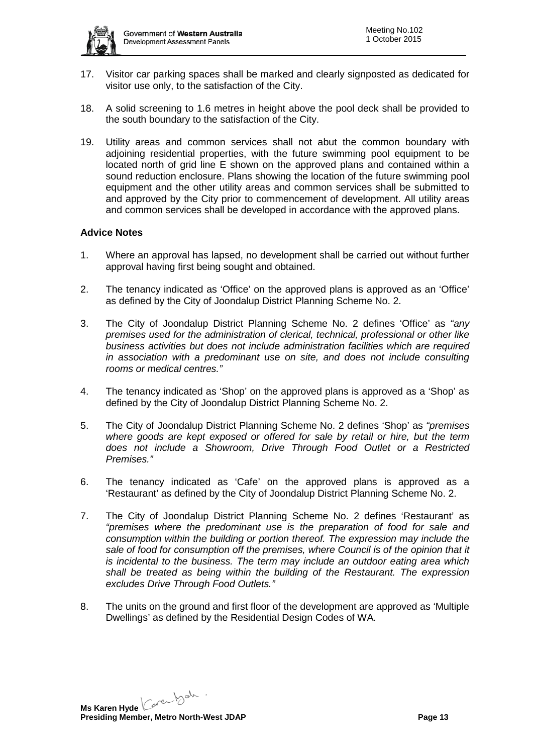

- 17. Visitor car parking spaces shall be marked and clearly signposted as dedicated for visitor use only, to the satisfaction of the City.
- 18. A solid screening to 1.6 metres in height above the pool deck shall be provided to the south boundary to the satisfaction of the City.
- 19. Utility areas and common services shall not abut the common boundary with adjoining residential properties, with the future swimming pool equipment to be located north of grid line E shown on the approved plans and contained within a sound reduction enclosure. Plans showing the location of the future swimming pool equipment and the other utility areas and common services shall be submitted to and approved by the City prior to commencement of development. All utility areas and common services shall be developed in accordance with the approved plans.

# **Advice Notes**

- 1. Where an approval has lapsed, no development shall be carried out without further approval having first being sought and obtained.
- 2. The tenancy indicated as 'Office' on the approved plans is approved as an 'Office' as defined by the City of Joondalup District Planning Scheme No. 2.
- 3. The City of Joondalup District Planning Scheme No. 2 defines 'Office' as *"any premises used for the administration of clerical, technical, professional or other like business activities but does not include administration facilities which are required in association with a predominant use on site, and does not include consulting rooms or medical centres."*
- 4. The tenancy indicated as 'Shop' on the approved plans is approved as a 'Shop' as defined by the City of Joondalup District Planning Scheme No. 2.
- 5. The City of Joondalup District Planning Scheme No. 2 defines 'Shop' as *"premises where goods are kept exposed or offered for sale by retail or hire, but the term does not include a Showroom, Drive Through Food Outlet or a Restricted Premises."*
- 6. The tenancy indicated as 'Cafe' on the approved plans is approved as a 'Restaurant' as defined by the City of Joondalup District Planning Scheme No. 2.
- 7. The City of Joondalup District Planning Scheme No. 2 defines 'Restaurant' as *"premises where the predominant use is the preparation of food for sale and consumption within the building or portion thereof. The expression may include the*  sale of food for consumption off the premises, where Council is of the opinion that it *is incidental to the business. The term may include an outdoor eating area which shall be treated as being within the building of the Restaurant. The expression excludes Drive Through Food Outlets."*
- 8. The units on the ground and first floor of the development are approved as 'Multiple Dwellings' as defined by the Residential Design Codes of WA.